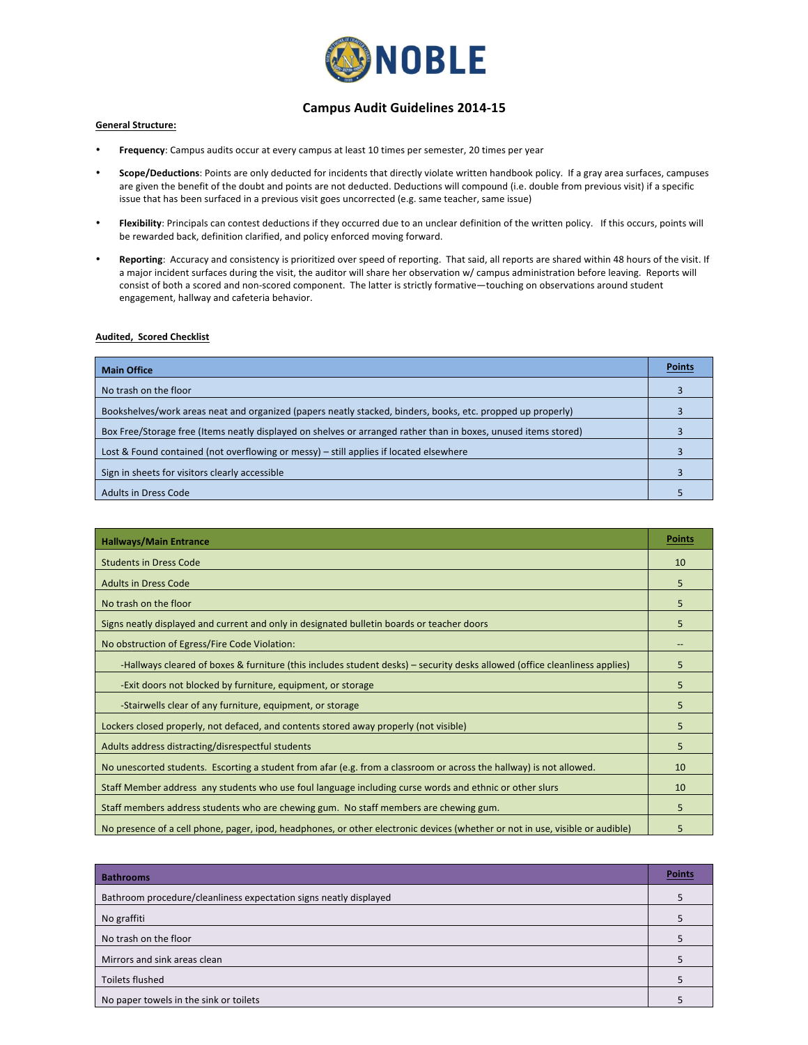

### **Campus Audit Guidelines 2014-15**

#### **General Structure:**

- Frequency: Campus audits occur at every campus at least 10 times per semester, 20 times per year
- Scope/Deductions: Points are only deducted for incidents that directly violate written handbook policy. If a gray area surfaces, campuses are given the benefit of the doubt and points are not deducted. Deductions will compound (i.e. double from previous visit) if a specific issue that has been surfaced in a previous visit goes uncorrected (e.g. same teacher, same issue)
- Flexibility: Principals can contest deductions if they occurred due to an unclear definition of the written policy. If this occurs, points will be rewarded back, definition clarified, and policy enforced moving forward.
- Reporting: Accuracy and consistency is prioritized over speed of reporting. That said, all reports are shared within 48 hours of the visit. If a major incident surfaces during the visit, the auditor will share her observation w/ campus administration before leaving. Reports will consist of both a scored and non-scored component. The latter is strictly formative—touching on observations around student engagement, hallway and cafeteria behavior.

#### **Audited, Scored Checklist**

| <b>Main Office</b>                                                                                              |  |
|-----------------------------------------------------------------------------------------------------------------|--|
| No trash on the floor                                                                                           |  |
| Bookshelves/work areas neat and organized (papers neatly stacked, binders, books, etc. propped up properly)     |  |
| Box Free/Storage free (Items neatly displayed on shelves or arranged rather than in boxes, unused items stored) |  |
| Lost & Found contained (not overflowing or messy) – still applies if located elsewhere                          |  |
| Sign in sheets for visitors clearly accessible                                                                  |  |
| <b>Adults in Dress Code</b>                                                                                     |  |

| <b>Hallways/Main Entrance</b>                                                                                                 | <b>Points</b> |
|-------------------------------------------------------------------------------------------------------------------------------|---------------|
| <b>Students in Dress Code</b>                                                                                                 | 10            |
| <b>Adults in Dress Code</b>                                                                                                   | 5             |
| No trash on the floor                                                                                                         | 5             |
| Signs neatly displayed and current and only in designated bulletin boards or teacher doors                                    | 5             |
| No obstruction of Egress/Fire Code Violation:                                                                                 |               |
| -Hallways cleared of boxes & furniture (this includes student desks) – security desks allowed (office cleanliness applies)    | 5             |
| -Exit doors not blocked by furniture, equipment, or storage                                                                   | 5             |
| -Stairwells clear of any furniture, equipment, or storage                                                                     | 5             |
| Lockers closed properly, not defaced, and contents stored away properly (not visible)                                         | 5             |
| Adults address distracting/disrespectful students                                                                             | 5             |
| No unescorted students. Escorting a student from afar (e.g. from a classroom or across the hallway) is not allowed.           | 10            |
| Staff Member address any students who use foul language including curse words and ethnic or other slurs                       | 10            |
| Staff members address students who are chewing gum. No staff members are chewing gum.                                         | 5             |
| No presence of a cell phone, pager, ipod, headphones, or other electronic devices (whether or not in use, visible or audible) | 5             |

| <b>Bathrooms</b>                                                  | <b>Points</b> |
|-------------------------------------------------------------------|---------------|
| Bathroom procedure/cleanliness expectation signs neatly displayed |               |
| No graffiti                                                       |               |
| No trash on the floor                                             |               |
| Mirrors and sink areas clean                                      |               |
| Toilets flushed                                                   |               |
| No paper towels in the sink or toilets                            |               |